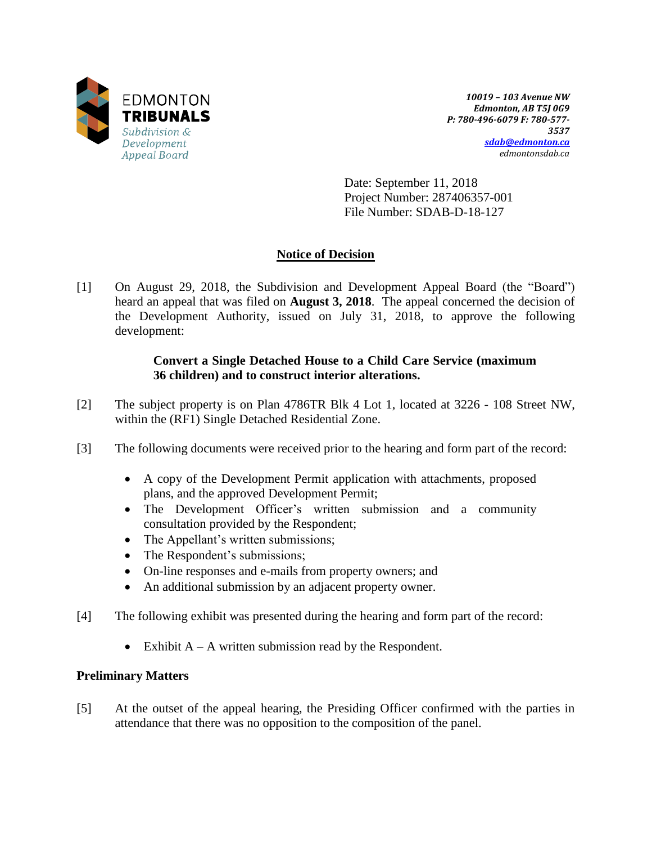

*10019 – 103 Avenue NW Edmonton, AB T5J 0G9 P: 780-496-6079 F: 780-577- 3537 [sdab@edmonton.ca](mailto:sdab@edmonton.ca) edmontonsdab.ca*

Date: September 11, 2018 Project Number: 287406357-001 File Number: SDAB-D-18-127

# **Notice of Decision**

[1] On August 29, 2018, the Subdivision and Development Appeal Board (the "Board") heard an appeal that was filed on **August 3, 2018**. The appeal concerned the decision of the Development Authority, issued on July 31, 2018, to approve the following development:

# **Convert a Single Detached House to a Child Care Service (maximum 36 children) and to construct interior alterations.**

- [2] The subject property is on Plan 4786TR Blk 4 Lot 1, located at 3226 108 Street NW, within the (RF1) Single Detached Residential Zone.
- [3] The following documents were received prior to the hearing and form part of the record:
	- A copy of the Development Permit application with attachments, proposed plans, and the approved Development Permit;
	- The Development Officer's written submission and a community consultation provided by the Respondent;
	- The Appellant's written submissions;
	- The Respondent's submissions;
	- On-line responses and e-mails from property owners; and
	- An additional submission by an adjacent property owner.
- [4] The following exhibit was presented during the hearing and form part of the record:
	- Exhibit  $A A$  written submission read by the Respondent.

## **Preliminary Matters**

[5] At the outset of the appeal hearing, the Presiding Officer confirmed with the parties in attendance that there was no opposition to the composition of the panel.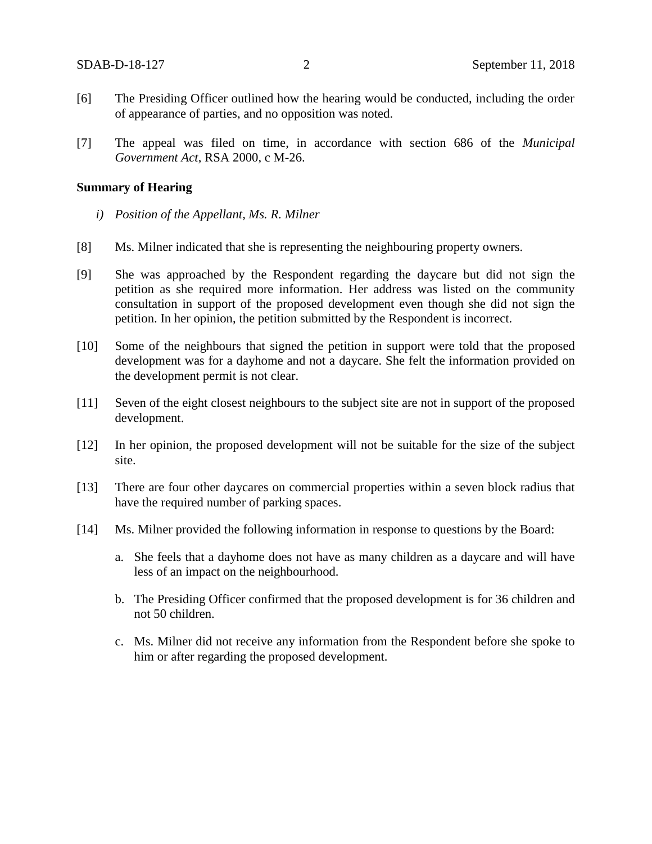- [6] The Presiding Officer outlined how the hearing would be conducted, including the order of appearance of parties, and no opposition was noted.
- [7] The appeal was filed on time, in accordance with section 686 of the *Municipal Government Act*, RSA 2000, c M-26.

#### **Summary of Hearing**

- *i) Position of the Appellant, Ms. R. Milner*
- [8] Ms. Milner indicated that she is representing the neighbouring property owners.
- [9] She was approached by the Respondent regarding the daycare but did not sign the petition as she required more information. Her address was listed on the community consultation in support of the proposed development even though she did not sign the petition. In her opinion, the petition submitted by the Respondent is incorrect.
- [10] Some of the neighbours that signed the petition in support were told that the proposed development was for a dayhome and not a daycare. She felt the information provided on the development permit is not clear.
- [11] Seven of the eight closest neighbours to the subject site are not in support of the proposed development.
- [12] In her opinion, the proposed development will not be suitable for the size of the subject site.
- [13] There are four other daycares on commercial properties within a seven block radius that have the required number of parking spaces.
- [14] Ms. Milner provided the following information in response to questions by the Board:
	- a. She feels that a dayhome does not have as many children as a daycare and will have less of an impact on the neighbourhood.
	- b. The Presiding Officer confirmed that the proposed development is for 36 children and not 50 children.
	- c. Ms. Milner did not receive any information from the Respondent before she spoke to him or after regarding the proposed development.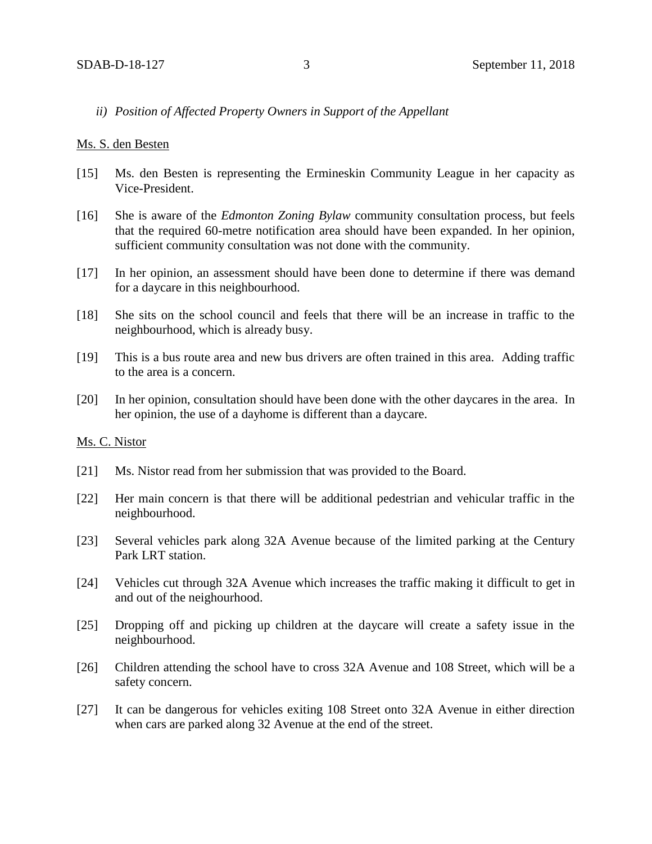### *ii) Position of Affected Property Owners in Support of the Appellant*

#### Ms. S. den Besten

- [15] Ms. den Besten is representing the Ermineskin Community League in her capacity as Vice-President.
- [16] She is aware of the *Edmonton Zoning Bylaw* community consultation process, but feels that the required 60-metre notification area should have been expanded. In her opinion, sufficient community consultation was not done with the community.
- [17] In her opinion, an assessment should have been done to determine if there was demand for a daycare in this neighbourhood.
- [18] She sits on the school council and feels that there will be an increase in traffic to the neighbourhood, which is already busy.
- [19] This is a bus route area and new bus drivers are often trained in this area. Adding traffic to the area is a concern.
- [20] In her opinion, consultation should have been done with the other daycares in the area. In her opinion, the use of a dayhome is different than a daycare.

### Ms. C. Nistor

- [21] Ms. Nistor read from her submission that was provided to the Board.
- [22] Her main concern is that there will be additional pedestrian and vehicular traffic in the neighbourhood.
- [23] Several vehicles park along 32A Avenue because of the limited parking at the Century Park LRT station.
- [24] Vehicles cut through 32A Avenue which increases the traffic making it difficult to get in and out of the neighourhood.
- [25] Dropping off and picking up children at the daycare will create a safety issue in the neighbourhood.
- [26] Children attending the school have to cross 32A Avenue and 108 Street, which will be a safety concern.
- [27] It can be dangerous for vehicles exiting 108 Street onto 32A Avenue in either direction when cars are parked along 32 Avenue at the end of the street.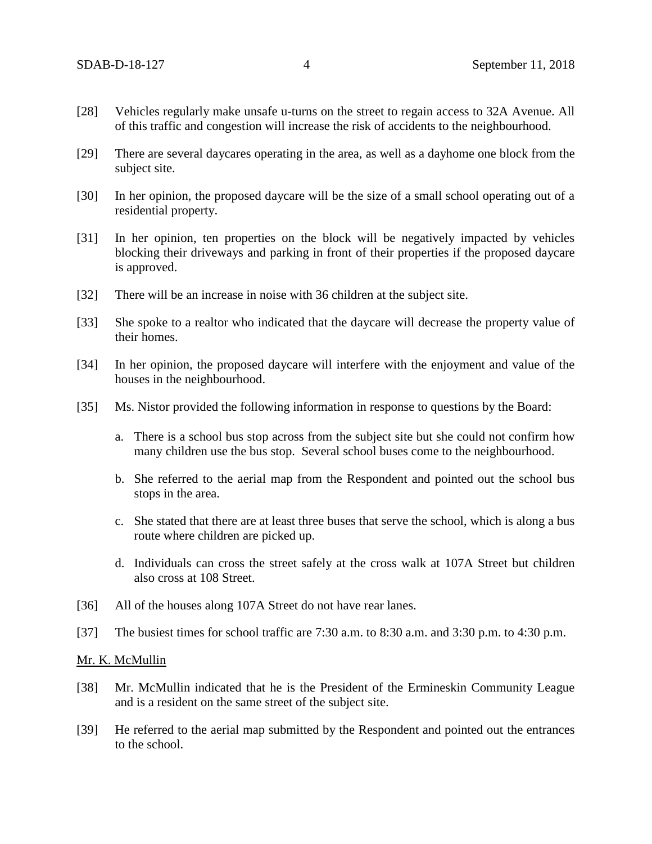- [28] Vehicles regularly make unsafe u-turns on the street to regain access to 32A Avenue. All of this traffic and congestion will increase the risk of accidents to the neighbourhood.
- [29] There are several daycares operating in the area, as well as a dayhome one block from the subject site.
- [30] In her opinion, the proposed daycare will be the size of a small school operating out of a residential property.
- [31] In her opinion, ten properties on the block will be negatively impacted by vehicles blocking their driveways and parking in front of their properties if the proposed daycare is approved.
- [32] There will be an increase in noise with 36 children at the subject site.
- [33] She spoke to a realtor who indicated that the daycare will decrease the property value of their homes.
- [34] In her opinion, the proposed daycare will interfere with the enjoyment and value of the houses in the neighbourhood.
- [35] Ms. Nistor provided the following information in response to questions by the Board:
	- a. There is a school bus stop across from the subject site but she could not confirm how many children use the bus stop. Several school buses come to the neighbourhood.
	- b. She referred to the aerial map from the Respondent and pointed out the school bus stops in the area.
	- c. She stated that there are at least three buses that serve the school, which is along a bus route where children are picked up.
	- d. Individuals can cross the street safely at the cross walk at 107A Street but children also cross at 108 Street.
- [36] All of the houses along 107A Street do not have rear lanes.
- [37] The busiest times for school traffic are 7:30 a.m. to 8:30 a.m. and 3:30 p.m. to 4:30 p.m.

#### Mr. K. McMullin

- [38] Mr. McMullin indicated that he is the President of the Ermineskin Community League and is a resident on the same street of the subject site.
- [39] He referred to the aerial map submitted by the Respondent and pointed out the entrances to the school.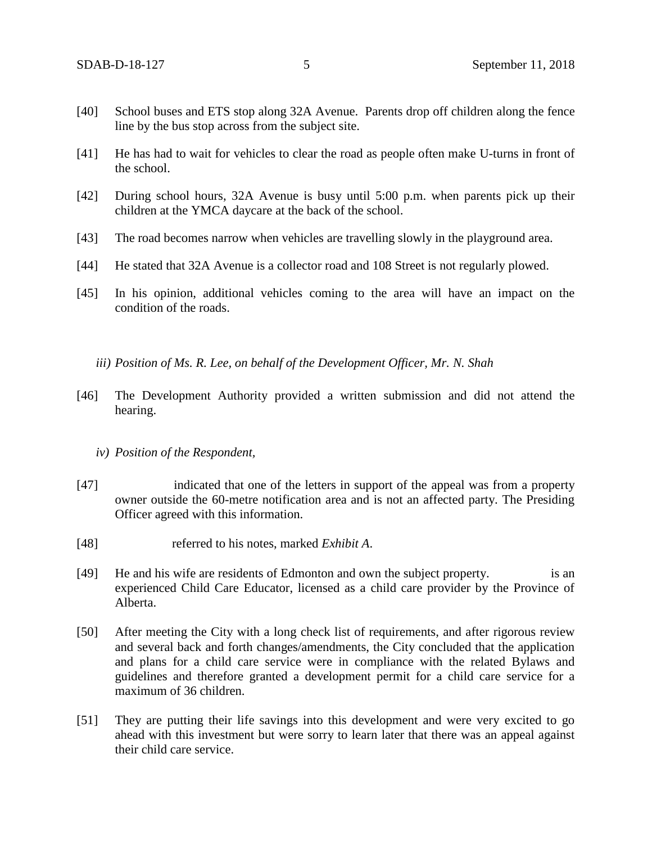- [40] School buses and ETS stop along 32A Avenue. Parents drop off children along the fence line by the bus stop across from the subject site.
- [41] He has had to wait for vehicles to clear the road as people often make U-turns in front of the school.
- [42] During school hours, 32A Avenue is busy until 5:00 p.m. when parents pick up their children at the YMCA daycare at the back of the school.
- [43] The road becomes narrow when vehicles are travelling slowly in the playground area.
- [44] He stated that 32A Avenue is a collector road and 108 Street is not regularly plowed.
- [45] In his opinion, additional vehicles coming to the area will have an impact on the condition of the roads.

*iii) Position of Ms. R. Lee, on behalf of the Development Officer, Mr. N. Shah* 

- [46] The Development Authority provided a written submission and did not attend the hearing.
	- *iv) Position of the Respondent,*
- [47] indicated that one of the letters in support of the appeal was from a property owner outside the 60-metre notification area and is not an affected party. The Presiding Officer agreed with this information.
- [48] referred to his notes, marked *Exhibit A*.
- [49] He and his wife are residents of Edmonton and own the subject property. is an experienced Child Care Educator, licensed as a child care provider by the Province of Alberta.
- [50] After meeting the City with a long check list of requirements, and after rigorous review and several back and forth changes/amendments, the City concluded that the application and plans for a child care service were in compliance with the related Bylaws and guidelines and therefore granted a development permit for a child care service for a maximum of 36 children.
- [51] They are putting their life savings into this development and were very excited to go ahead with this investment but were sorry to learn later that there was an appeal against their child care service.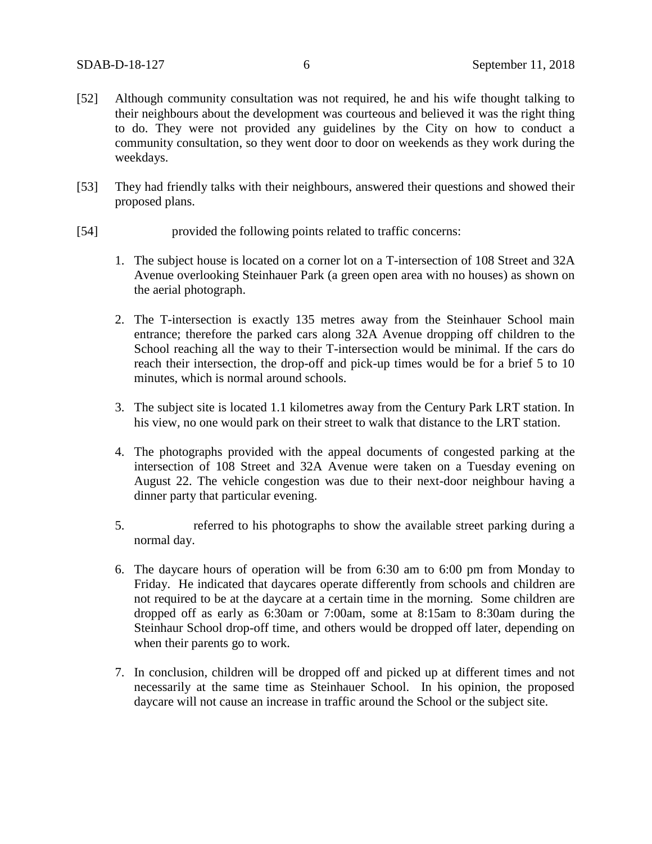- [52] Although community consultation was not required, he and his wife thought talking to their neighbours about the development was courteous and believed it was the right thing to do. They were not provided any guidelines by the City on how to conduct a community consultation, so they went door to door on weekends as they work during the weekdays.
- [53] They had friendly talks with their neighbours, answered their questions and showed their proposed plans.
- [54] provided the following points related to traffic concerns:
	- 1. The subject house is located on a corner lot on a T-intersection of 108 Street and 32A Avenue overlooking Steinhauer Park (a green open area with no houses) as shown on the aerial photograph.
	- 2. The T-intersection is exactly 135 metres away from the Steinhauer School main entrance; therefore the parked cars along 32A Avenue dropping off children to the School reaching all the way to their T-intersection would be minimal. If the cars do reach their intersection, the drop-off and pick-up times would be for a brief 5 to 10 minutes, which is normal around schools.
	- 3. The subject site is located 1.1 kilometres away from the Century Park LRT station. In his view, no one would park on their street to walk that distance to the LRT station.
	- 4. The photographs provided with the appeal documents of congested parking at the intersection of 108 Street and 32A Avenue were taken on a Tuesday evening on August 22. The vehicle congestion was due to their next-door neighbour having a dinner party that particular evening.
	- 5. referred to his photographs to show the available street parking during a normal day.
	- 6. The daycare hours of operation will be from 6:30 am to 6:00 pm from Monday to Friday. He indicated that daycares operate differently from schools and children are not required to be at the daycare at a certain time in the morning. Some children are dropped off as early as 6:30am or 7:00am, some at 8:15am to 8:30am during the Steinhaur School drop-off time, and others would be dropped off later, depending on when their parents go to work.
	- 7. In conclusion, children will be dropped off and picked up at different times and not necessarily at the same time as Steinhauer School. In his opinion, the proposed daycare will not cause an increase in traffic around the School or the subject site.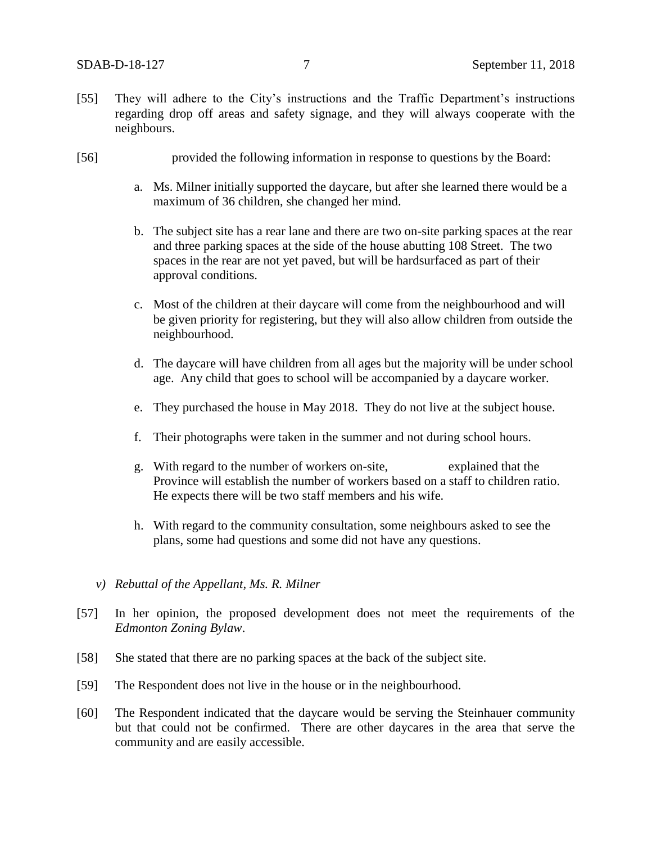- [55] They will adhere to the City's instructions and the Traffic Department's instructions regarding drop off areas and safety signage, and they will always cooperate with the neighbours.
- [56] provided the following information in response to questions by the Board:
	- a. Ms. Milner initially supported the daycare, but after she learned there would be a maximum of 36 children, she changed her mind.
	- b. The subject site has a rear lane and there are two on-site parking spaces at the rear and three parking spaces at the side of the house abutting 108 Street. The two spaces in the rear are not yet paved, but will be hardsurfaced as part of their approval conditions.
	- c. Most of the children at their daycare will come from the neighbourhood and will be given priority for registering, but they will also allow children from outside the neighbourhood.
	- d. The daycare will have children from all ages but the majority will be under school age. Any child that goes to school will be accompanied by a daycare worker.
	- e. They purchased the house in May 2018. They do not live at the subject house.
	- f. Their photographs were taken in the summer and not during school hours.
	- g. With regard to the number of workers on-site, explained that the Province will establish the number of workers based on a staff to children ratio. He expects there will be two staff members and his wife.
	- h. With regard to the community consultation, some neighbours asked to see the plans, some had questions and some did not have any questions.
	- *v) Rebuttal of the Appellant, Ms. R. Milner*
- [57] In her opinion, the proposed development does not meet the requirements of the *Edmonton Zoning Bylaw*.
- [58] She stated that there are no parking spaces at the back of the subject site.
- [59] The Respondent does not live in the house or in the neighbourhood.
- [60] The Respondent indicated that the daycare would be serving the Steinhauer community but that could not be confirmed. There are other daycares in the area that serve the community and are easily accessible.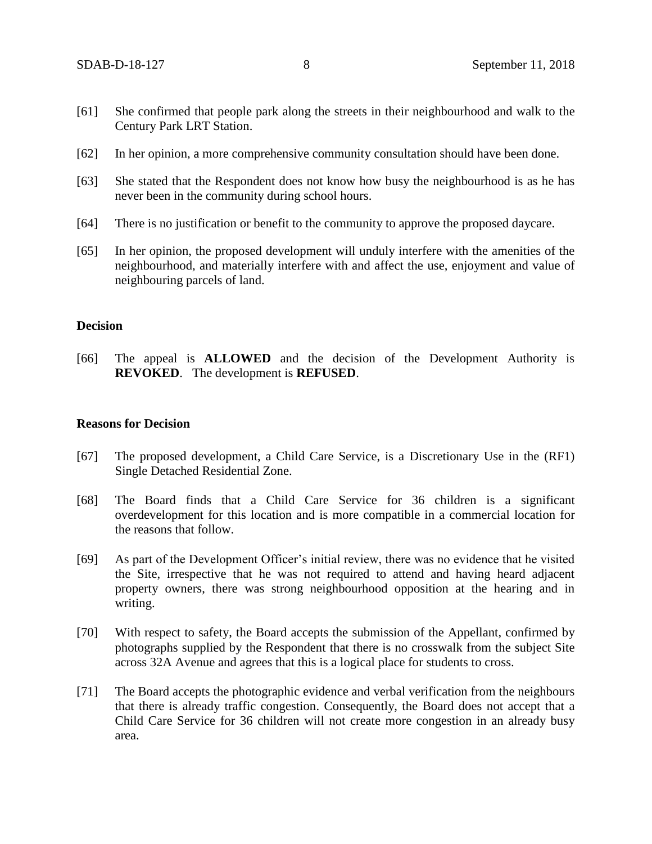- [61] She confirmed that people park along the streets in their neighbourhood and walk to the Century Park LRT Station.
- [62] In her opinion, a more comprehensive community consultation should have been done.
- [63] She stated that the Respondent does not know how busy the neighbourhood is as he has never been in the community during school hours.
- [64] There is no justification or benefit to the community to approve the proposed daycare.
- [65] In her opinion, the proposed development will unduly interfere with the amenities of the neighbourhood, and materially interfere with and affect the use, enjoyment and value of neighbouring parcels of land.

## **Decision**

[66] The appeal is **ALLOWED** and the decision of the Development Authority is **REVOKED**. The development is **REFUSED**.

## **Reasons for Decision**

- [67] The proposed development, a Child Care Service, is a Discretionary Use in the (RF1) Single Detached Residential Zone.
- [68] The Board finds that a Child Care Service for 36 children is a significant overdevelopment for this location and is more compatible in a commercial location for the reasons that follow.
- [69] As part of the Development Officer's initial review, there was no evidence that he visited the Site, irrespective that he was not required to attend and having heard adjacent property owners, there was strong neighbourhood opposition at the hearing and in writing.
- [70] With respect to safety, the Board accepts the submission of the Appellant, confirmed by photographs supplied by the Respondent that there is no crosswalk from the subject Site across 32A Avenue and agrees that this is a logical place for students to cross.
- [71] The Board accepts the photographic evidence and verbal verification from the neighbours that there is already traffic congestion. Consequently, the Board does not accept that a Child Care Service for 36 children will not create more congestion in an already busy area.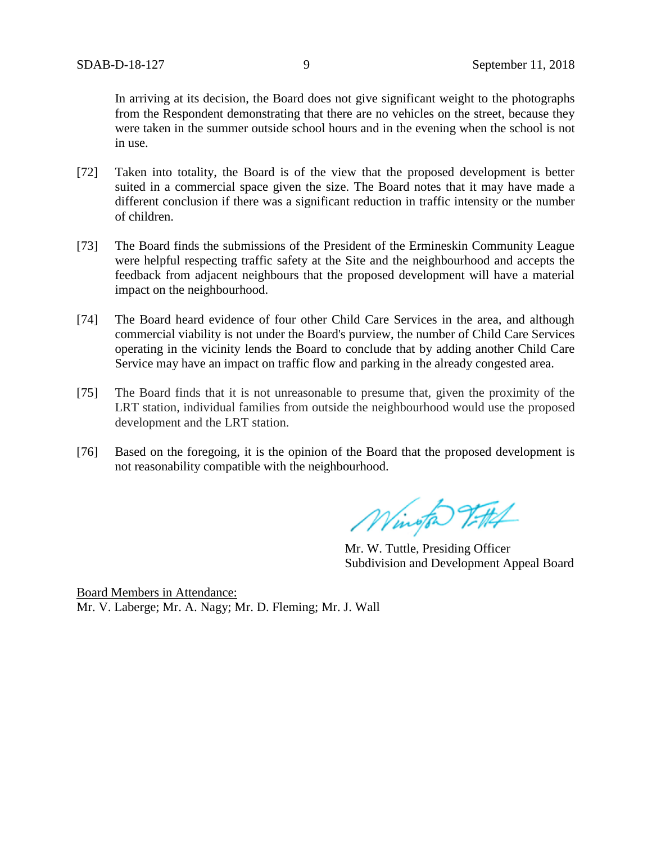In arriving at its decision, the Board does not give significant weight to the photographs from the Respondent demonstrating that there are no vehicles on the street, because they were taken in the summer outside school hours and in the evening when the school is not in use.

- [72] Taken into totality, the Board is of the view that the proposed development is better suited in a commercial space given the size. The Board notes that it may have made a different conclusion if there was a significant reduction in traffic intensity or the number of children.
- [73] The Board finds the submissions of the President of the Ermineskin Community League were helpful respecting traffic safety at the Site and the neighbourhood and accepts the feedback from adjacent neighbours that the proposed development will have a material impact on the neighbourhood.
- [74] The Board heard evidence of four other Child Care Services in the area, and although commercial viability is not under the Board's purview, the number of Child Care Services operating in the vicinity lends the Board to conclude that by adding another Child Care Service may have an impact on traffic flow and parking in the already congested area.
- [75] The Board finds that it is not unreasonable to presume that, given the proximity of the LRT station, individual families from outside the neighbourhood would use the proposed development and the LRT station.
- [76] Based on the foregoing, it is the opinion of the Board that the proposed development is not reasonability compatible with the neighbourhood.

Wington Vittel

Mr. W. Tuttle, Presiding Officer Subdivision and Development Appeal Board

Board Members in Attendance: Mr. V. Laberge; Mr. A. Nagy; Mr. D. Fleming; Mr. J. Wall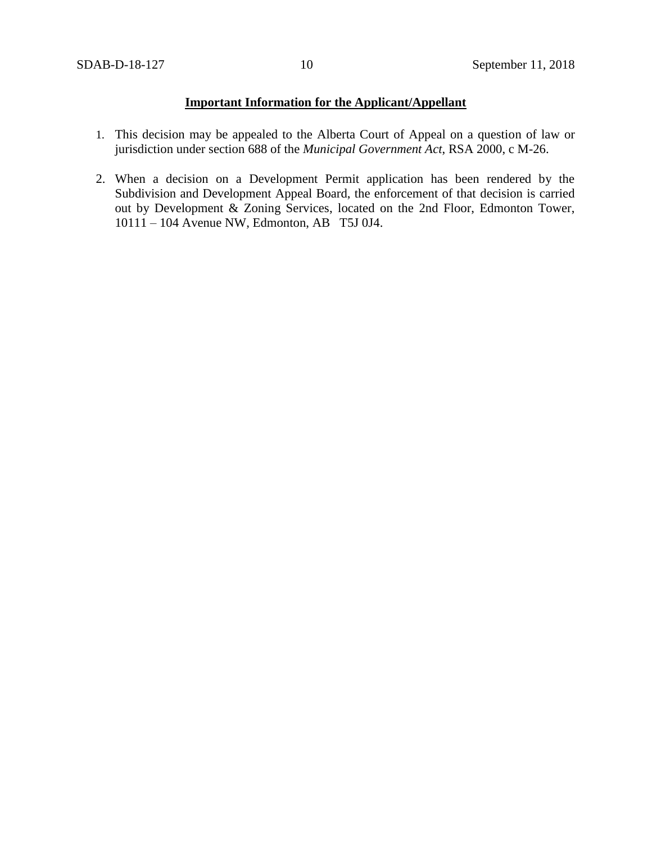# **Important Information for the Applicant/Appellant**

- 1. This decision may be appealed to the Alberta Court of Appeal on a question of law or jurisdiction under section 688 of the *Municipal Government Act*, RSA 2000, c M-26.
- 2. When a decision on a Development Permit application has been rendered by the Subdivision and Development Appeal Board, the enforcement of that decision is carried out by Development & Zoning Services, located on the 2nd Floor, Edmonton Tower, 10111 – 104 Avenue NW, Edmonton, AB T5J 0J4.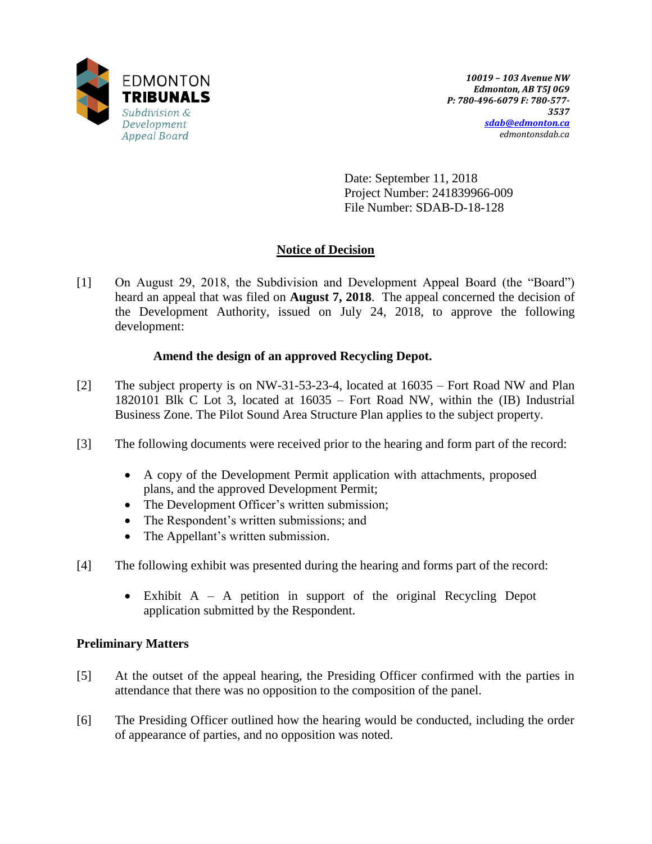

Date: September 11, 2018 Project Number: 241839966-009 File Number: SDAB-D-18-128

# **Notice of Decision**

[1] On August 29, 2018, the Subdivision and Development Appeal Board (the "Board") heard an appeal that was filed on **August 7, 2018**. The appeal concerned the decision of the Development Authority, issued on July 24, 2018, to approve the following development:

# **Amend the design of an approved Recycling Depot.**

- [2] The subject property is on NW-31-53-23-4, located at 16035 Fort Road NW and Plan 1820101 Blk C Lot 3, located at 16035 – Fort Road NW, within the (IB) Industrial Business Zone. The Pilot Sound Area Structure Plan applies to the subject property.
- [3] The following documents were received prior to the hearing and form part of the record:
	- A copy of the Development Permit application with attachments, proposed plans, and the approved Development Permit;
	- The Development Officer's written submission;
	- The Respondent's written submissions; and
	- The Appellant's written submission.
- [4] The following exhibit was presented during the hearing and forms part of the record:
	- Exhibit A A petition in support of the original Recycling Depot application submitted by the Respondent.

## **Preliminary Matters**

- [5] At the outset of the appeal hearing, the Presiding Officer confirmed with the parties in attendance that there was no opposition to the composition of the panel.
- [6] The Presiding Officer outlined how the hearing would be conducted, including the order of appearance of parties, and no opposition was noted.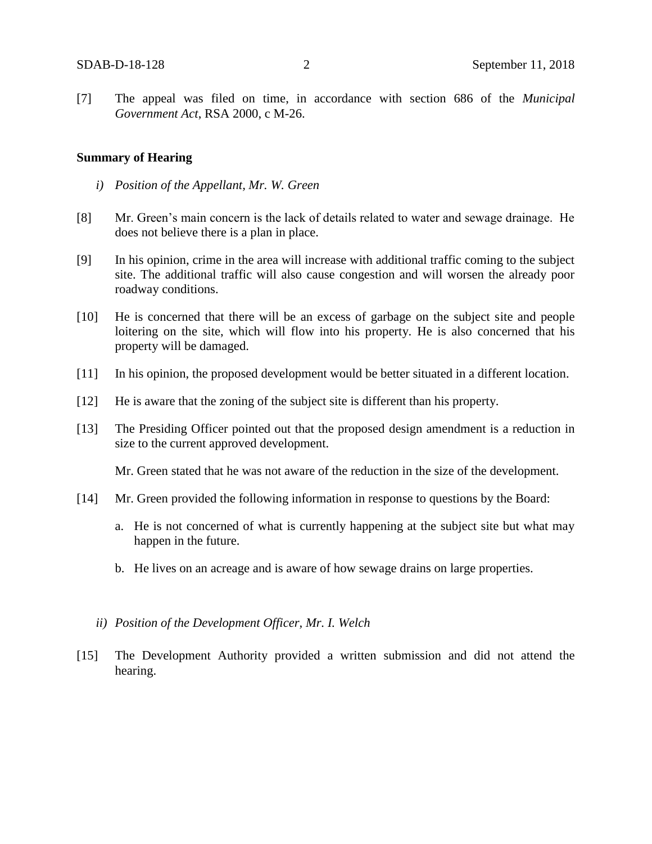[7] The appeal was filed on time, in accordance with section 686 of the *Municipal Government Act*, RSA 2000, c M-26.

#### **Summary of Hearing**

- *i) Position of the Appellant, Mr. W. Green*
- [8] Mr. Green's main concern is the lack of details related to water and sewage drainage. He does not believe there is a plan in place.
- [9] In his opinion, crime in the area will increase with additional traffic coming to the subject site. The additional traffic will also cause congestion and will worsen the already poor roadway conditions.
- [10] He is concerned that there will be an excess of garbage on the subject site and people loitering on the site, which will flow into his property. He is also concerned that his property will be damaged.
- [11] In his opinion, the proposed development would be better situated in a different location.
- [12] He is aware that the zoning of the subject site is different than his property.
- [13] The Presiding Officer pointed out that the proposed design amendment is a reduction in size to the current approved development.

Mr. Green stated that he was not aware of the reduction in the size of the development.

- [14] Mr. Green provided the following information in response to questions by the Board:
	- a. He is not concerned of what is currently happening at the subject site but what may happen in the future.
	- b. He lives on an acreage and is aware of how sewage drains on large properties.
	- *ii) Position of the Development Officer, Mr. I. Welch*
- [15] The Development Authority provided a written submission and did not attend the hearing.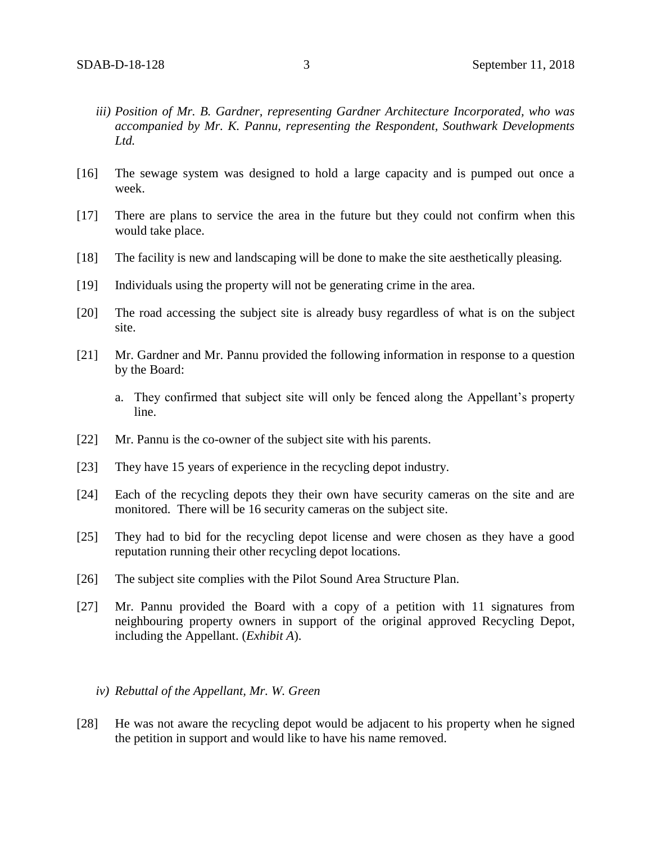- *iii) Position of Mr. B. Gardner, representing Gardner Architecture Incorporated, who was accompanied by Mr. K. Pannu, representing the Respondent, Southwark Developments Ltd.*
- [16] The sewage system was designed to hold a large capacity and is pumped out once a week.
- [17] There are plans to service the area in the future but they could not confirm when this would take place.
- [18] The facility is new and landscaping will be done to make the site aesthetically pleasing.
- [19] Individuals using the property will not be generating crime in the area.
- [20] The road accessing the subject site is already busy regardless of what is on the subject site.
- [21] Mr. Gardner and Mr. Pannu provided the following information in response to a question by the Board:
	- a. They confirmed that subject site will only be fenced along the Appellant's property line.
- [22] Mr. Pannu is the co-owner of the subject site with his parents.
- [23] They have 15 years of experience in the recycling depot industry.
- [24] Each of the recycling depots they their own have security cameras on the site and are monitored. There will be 16 security cameras on the subject site.
- [25] They had to bid for the recycling depot license and were chosen as they have a good reputation running their other recycling depot locations.
- [26] The subject site complies with the Pilot Sound Area Structure Plan.
- [27] Mr. Pannu provided the Board with a copy of a petition with 11 signatures from neighbouring property owners in support of the original approved Recycling Depot, including the Appellant. (*Exhibit A*).

## *iv) Rebuttal of the Appellant, Mr. W. Green*

[28] He was not aware the recycling depot would be adjacent to his property when he signed the petition in support and would like to have his name removed.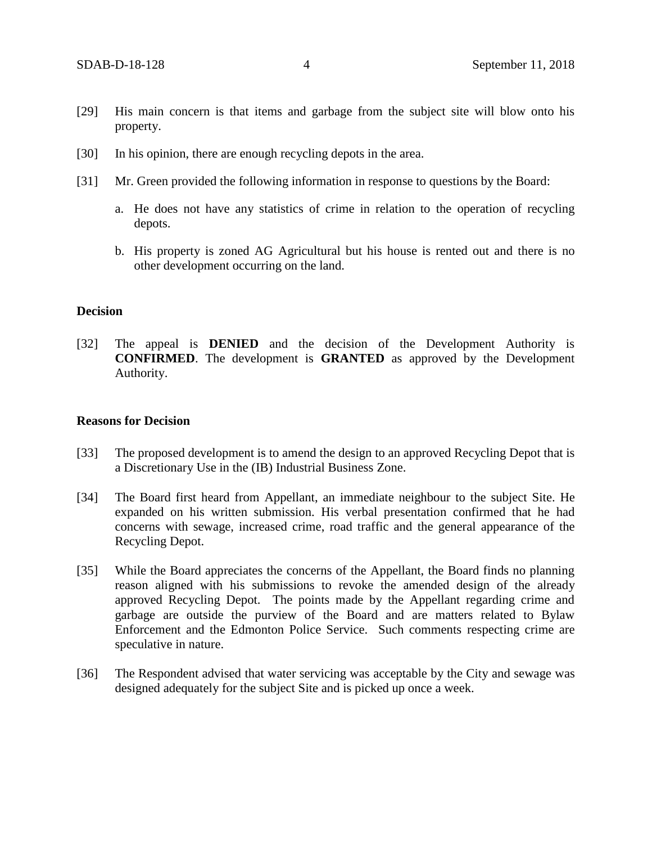- [29] His main concern is that items and garbage from the subject site will blow onto his property.
- [30] In his opinion, there are enough recycling depots in the area.
- [31] Mr. Green provided the following information in response to questions by the Board:
	- a. He does not have any statistics of crime in relation to the operation of recycling depots.
	- b. His property is zoned AG Agricultural but his house is rented out and there is no other development occurring on the land.

## **Decision**

[32] The appeal is **DENIED** and the decision of the Development Authority is **CONFIRMED**. The development is **GRANTED** as approved by the Development Authority.

#### **Reasons for Decision**

- [33] The proposed development is to amend the design to an approved Recycling Depot that is a Discretionary Use in the (IB) Industrial Business Zone.
- [34] The Board first heard from Appellant, an immediate neighbour to the subject Site. He expanded on his written submission. His verbal presentation confirmed that he had concerns with sewage, increased crime, road traffic and the general appearance of the Recycling Depot.
- [35] While the Board appreciates the concerns of the Appellant, the Board finds no planning reason aligned with his submissions to revoke the amended design of the already approved Recycling Depot. The points made by the Appellant regarding crime and garbage are outside the purview of the Board and are matters related to Bylaw Enforcement and the Edmonton Police Service. Such comments respecting crime are speculative in nature.
- [36] The Respondent advised that water servicing was acceptable by the City and sewage was designed adequately for the subject Site and is picked up once a week.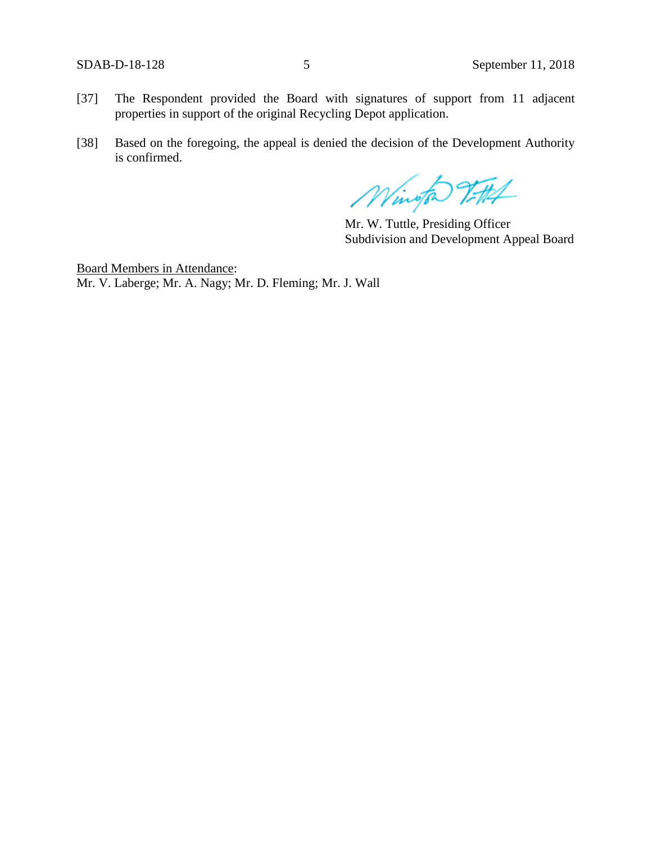- [37] The Respondent provided the Board with signatures of support from 11 adjacent properties in support of the original Recycling Depot application.
- [38] Based on the foregoing, the appeal is denied the decision of the Development Authority is confirmed.

Wington 2FH

Mr. W. Tuttle, Presiding Officer Subdivision and Development Appeal Board

Board Members in Attendance: Mr. V. Laberge; Mr. A. Nagy; Mr. D. Fleming; Mr. J. Wall